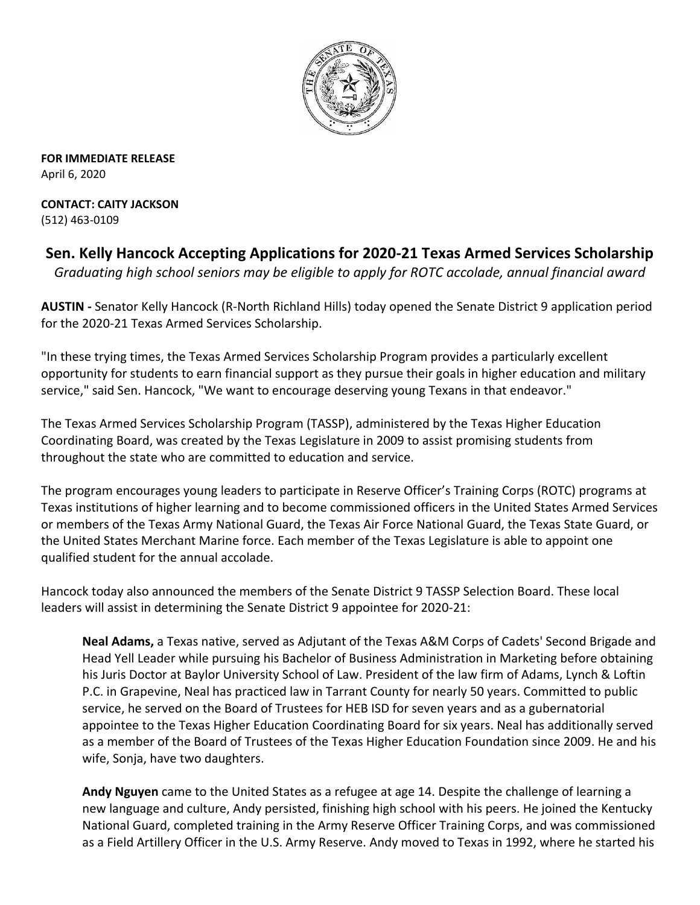

**FOR IMMEDIATE RELEASE** April 6, 2020

**CONTACT: CAITY JACKSON** (512) 463-0109

**Sen. Kelly Hancock Accepting Applications for 2020-21 Texas Armed Services Scholarship** *Graduating high school seniors may be eligible to apply for ROTC accolade, annual financial award*

**AUSTIN -** Senator Kelly Hancock (R-North Richland Hills) today opened the Senate District 9 application period for the 2020-21 Texas Armed Services Scholarship.

"In these trying times, the Texas Armed Services Scholarship Program provides a particularly excellent opportunity for students to earn financial support as they pursue their goals in higher education and military service," said Sen. Hancock, "We want to encourage deserving young Texans in that endeavor."

The Texas Armed Services Scholarship Program (TASSP), administered by the Texas Higher Education Coordinating Board, was created by the Texas Legislature in 2009 to assist promising students from throughout the state who are committed to education and service.

The program encourages young leaders to participate in Reserve Officer's Training Corps (ROTC) programs at Texas institutions of higher learning and to become commissioned officers in the United States Armed Services or members of the Texas Army National Guard, the Texas Air Force National Guard, the Texas State Guard, or the United States Merchant Marine force. Each member of the Texas Legislature is able to appoint one qualified student for the annual accolade.

Hancock today also announced the members of the Senate District 9 TASSP Selection Board. These local leaders will assist in determining the Senate District 9 appointee for 2020-21:

**Neal Adams,** a Texas native, served as Adjutant of the Texas A&M Corps of Cadets' Second Brigade and Head Yell Leader while pursuing his Bachelor of Business Administration in Marketing before obtaining his Juris Doctor at Baylor University School of Law. President of the law firm of Adams, Lynch & Loftin P.C. in Grapevine, Neal has practiced law in Tarrant County for nearly 50 years. Committed to public service, he served on the Board of Trustees for HEB ISD for seven years and as a gubernatorial appointee to the Texas Higher Education Coordinating Board for six years. Neal has additionally served as a member of the Board of Trustees of the Texas Higher Education Foundation since 2009. He and his wife, Sonja, have two daughters.

**Andy Nguyen** came to the United States as a refugee at age 14. Despite the challenge of learning a new language and culture, Andy persisted, finishing high school with his peers. He joined the Kentucky National Guard, completed training in the Army Reserve Officer Training Corps, and was commissioned as a Field Artillery Officer in the U.S. Army Reserve. Andy moved to Texas in 1992, where he started his